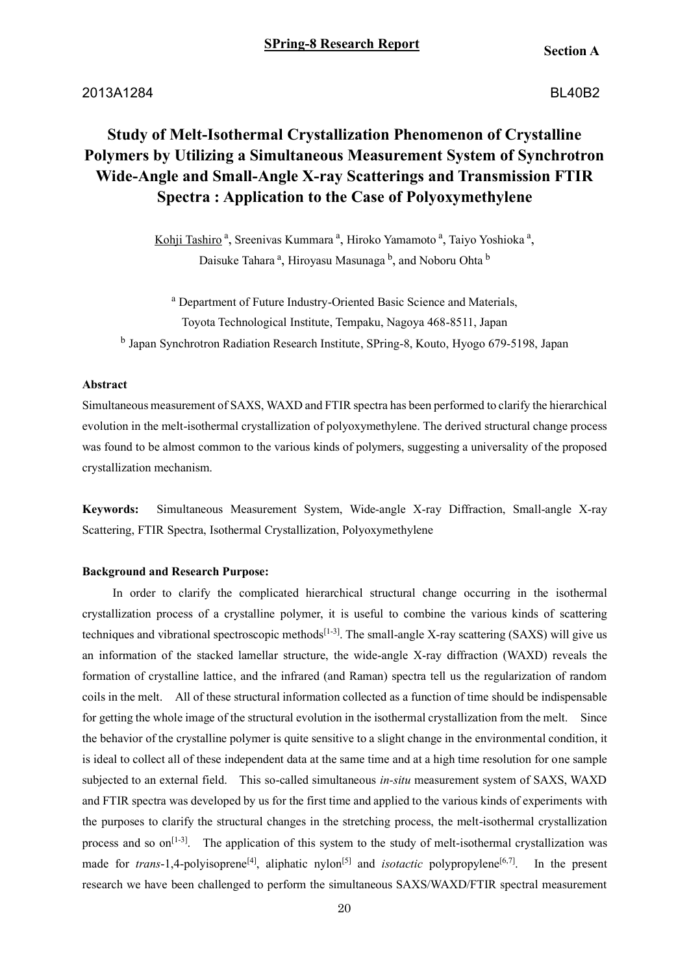2013A1284BL40B2

# **Study of Melt-Isothermal Crystallization Phenomenon of Crystalline Polymers by Utilizing a Simultaneous Measurement System of Synchrotron Wide-Angle and Small-Angle X-ray Scatterings and Transmission FTIR Spectra : Application to the Case of Polyoxymethylene**

Kohji Tashiro<sup>a</sup>, Sreenivas Kummara<sup>a</sup>, Hiroko Yamamoto<sup>a</sup>, Taiyo Yoshioka<sup>a</sup>, Daisuke Tahara<sup>a</sup>, Hiroyasu Masunaga <sup>b</sup>, and Noboru Ohta <sup>b</sup>

<sup>a</sup> Department of Future Industry-Oriented Basic Science and Materials, Toyota Technological Institute, Tempaku, Nagoya 468-8511, Japan

<sup>b</sup> Japan Synchrotron Radiation Research Institute, SPring-8, Kouto, Hyogo 679-5198, Japan

## **Abstract**

Simultaneous measurement of SAXS, WAXD and FTIR spectra has been performed to clarify the hierarchical evolution in the melt-isothermal crystallization of polyoxymethylene. The derived structural change process was found to be almost common to the various kinds of polymers, suggesting a universality of the proposed crystallization mechanism.

**Keywords:** Simultaneous Measurement System, Wide-angle X-ray Diffraction, Small-angle X-ray Scattering, FTIR Spectra, Isothermal Crystallization, Polyoxymethylene

## **Background and Research Purpose:**

In order to clarify the complicated hierarchical structural change occurring in the isothermal crystallization process of a crystalline polymer, it is useful to combine the various kinds of scattering techniques and vibrational spectroscopic methods $[1-3]$ . The small-angle X-ray scattering (SAXS) will give us an information of the stacked lamellar structure, the wide-angle X-ray diffraction (WAXD) reveals the formation of crystalline lattice, and the infrared (and Raman) spectra tell us the regularization of random coils in the melt. All of these structural information collected as a function of time should be indispensable for getting the whole image of the structural evolution in the isothermal crystallization from the melt. Since the behavior of the crystalline polymer is quite sensitive to a slight change in the environmental condition, it is ideal to collect all of these independent data at the same time and at a high time resolution for one sample subjected to an external field. This so-called simultaneous *in-situ* measurement system of SAXS, WAXD and FTIR spectra was developed by us for the first time and applied to the various kinds of experiments with the purposes to clarify the structural changes in the stretching process, the melt-isothermal crystallization process and so on<sup>[1-3]</sup>. The application of this system to the study of melt-isothermal crystallization was made for *trans*-1,4-polyisoprene<sup>[4]</sup>, aliphatic nylon<sup>[5]</sup> and *isotactic* polypropylene<sup>[6,7]</sup> . In the present research we have been challenged to perform the simultaneous SAXS/WAXD/FTIR spectral measurement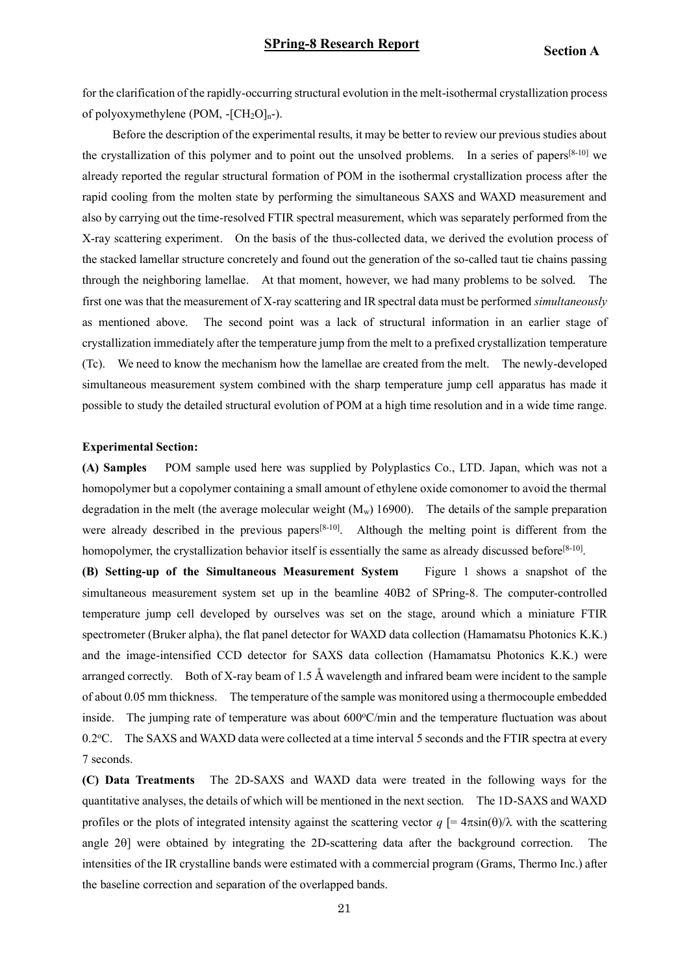for the clarification of the rapidly-occurring structural evolution in the melt-isothermal crystallization process of polyoxymethylene (POM,  $-[CH_2O]_{n}$ -).

Before the description of the experimental results, it may be better to review our previous studies about the crystallization of this polymer and to point out the unsolved problems. In a series of papers<sup>[8-10]</sup> we already reported the regular structural formation of POM in the isothermal crystallization process after the rapid cooling from the molten state by performing the simultaneous SAXS and WAXD measurement and also by carrying out the time-resolved FTIR spectral measurement, which was separately performed from the X-ray scattering experiment. On the basis of the thus-collected data, we derived the evolution process of the stacked lamellar structure concretely and found out the generation of the so-called taut tie chains passing through the neighboring lamellae. At that moment, however, we had many problems to be solved. The first one was that the measurement of X-ray scattering and IR spectral data must be performed *simultaneously* as mentioned above. The second point was a lack of structural information in an earlier stage of crystallization immediately after the temperature jump from the melt to a prefixed crystallization temperature (Tc). We need to know the mechanism how the lamellae are created from the melt. The newly-developed simultaneous measurement system combined with the sharp temperature jump cell apparatus has made it possible to study the detailed structural evolution of POM at a high time resolution and in a wide time range.

#### **Experimental Section:**

**(A) Samples** POM sample used here was supplied by Polyplastics Co., LTD. Japan, which was not a homopolymer but a copolymer containing a small amount of ethylene oxide comonomer to avoid the thermal degradation in the melt (the average molecular weight  $(M_w)$  16900). The details of the sample preparation were already described in the previous papers<sup>[8-10]</sup>. Although the melting point is different from the homopolymer, the crystallization behavior itself is essentially the same as already discussed before<sup>[8-10]</sup>.

**(B) Setting-up of the Simultaneous Measurement System** Figure 1 shows a snapshot of the simultaneous measurement system set up in the beamline 40B2 of SPring-8. The computer-controlled temperature jump cell developed by ourselves was set on the stage, around which a miniature FTIR spectrometer (Bruker alpha), the flat panel detector for WAXD data collection (Hamamatsu Photonics K.K.) and the image-intensified CCD detector for SAXS data collection (Hamamatsu Photonics K.K.) were arranged correctly. Both of X-ray beam of 1.5  $\AA$  wavelength and infrared beam were incident to the sample of about 0.05 mm thickness. The temperature of the sample was monitored using a thermocouple embedded inside. The jumping rate of temperature was about  $600^{\circ}$ C/min and the temperature fluctuation was about 0.2<sup>o</sup>C. The SAXS and WAXD data were collected at a time interval 5 seconds and the FTIR spectra at every 7 seconds.

**(C) Data Treatments** The 2D-SAXS and WAXD data were treated in the following ways for the quantitative analyses, the details of which will be mentioned in the next section. The 1D-SAXS and WAXD profiles or the plots of integrated intensity against the scattering vector  $q = 4\pi \sin(\theta)/\lambda$  with the scattering angle 20] were obtained by integrating the 2D-scattering data after the background correction. The intensities of the IR crystalline bands were estimated with a commercial program (Grams, Thermo Inc.) after the baseline correction and separation of the overlapped bands.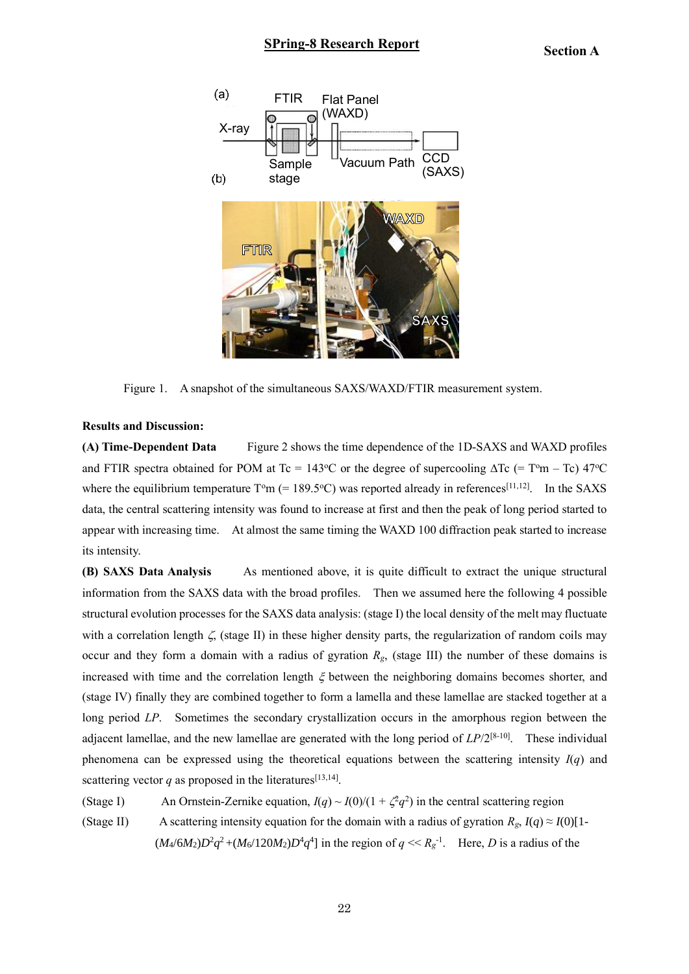

Figure 1. A snapshot of the simultaneous SAXS/WAXD/FTIR measurement system.

## **Results and Discussion:**

**(A) Time-Dependent Data** Figure 2 shows the time dependence of the 1D-SAXS and WAXD profiles and FTIR spectra obtained for POM at Tc = 143°C or the degree of supercooling  $\Delta Tc$  (= T°m – Tc) 47°C where the equilibrium temperature  $T<sup>o</sup>m$  (= 189.5°C) was reported already in references<sup>[11,12]</sup>. In the SAXS data, the central scattering intensity was found to increase at first and then the peak of long period started to appear with increasing time. At almost the same timing the WAXD 100 diffraction peak started to increase its intensity.

**(B) SAXS Data Analysis** As mentioned above, it is quite difficult to extract the unique structural information from the SAXS data with the broad profiles. Then we assumed here the following 4 possible structural evolution processes for the SAXS data analysis: (stage I) the local density of the melt may fluctuate with a correlation length  $\zeta$ , (stage II) in these higher density parts, the regularization of random coils may occur and they form a domain with a radius of gyration *Rg*, (stage III) the number of these domains is increased with time and the correlation length  $\xi$  between the neighboring domains becomes shorter, and (stage IV) finally they are combined together to form a lamella and these lamellae are stacked together at a long period *LP*. Sometimes the secondary crystallization occurs in the amorphous region between the adjacent lamellae, and the new lamellae are generated with the long period of *LP*/2[8-10] . These individual phenomena can be expressed using the theoretical equations between the scattering intensity *I*(*q*) and scattering vector  $q$  as proposed in the literatures<sup>[13,14]</sup>.

(Stage I) An Ornstein-Zernike equation,  $I(q) \sim I(0)/(1 + \zeta^2 q^2)$  in the central scattering region (Stage II) A scattering intensity equation for the domain with a radius of gyration  $R_g$ ,  $I(q) \approx I(0)[1 (M_4/6M_2)D^2q^2 + (M_6/120M_2)D^4q^4$  in the region of  $q \ll R_g^{-1}$ . Here, *D* is a radius of the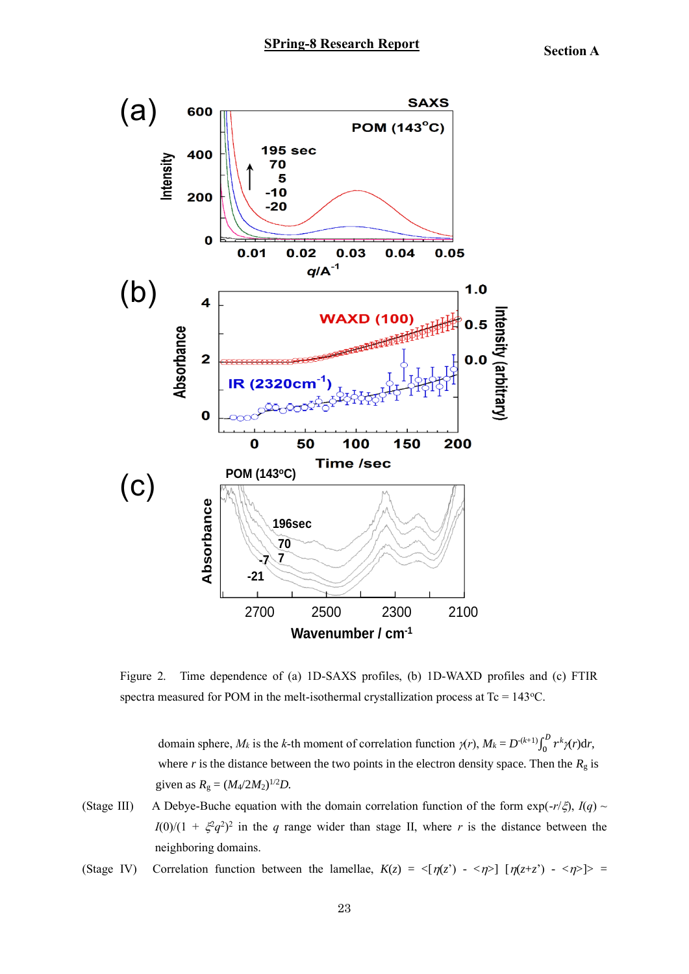

Figure 2. Time dependence of (a) 1D-SAXS profiles, (b) 1D-WAXD profiles and (c) FTIR spectra measured for POM in the melt-isothermal crystallization process at  $T_c = 143$ °C.

domain sphere,  $M_k$  is the *k*-th moment of correlation function  $\gamma(r)$ ,  $M_k = D^{-(k+1)} \int_0^D r^k$  $\int_0^b r^k \gamma(r) dr$ where *r* is the distance between the two points in the electron density space. Then the  $R<sub>g</sub>$  is given as  $R_g = (M_4/2M_2)^{1/2}D$ .

(Stage III) A Debye-Buche equation with the domain correlation function of the form  $exp(-r/\xi)$ ,  $I(q) \sim$  $I(0)/(1 + \xi^2 q^2)^2$  in the *q* range wider than stage II, where *r* is the distance between the neighboring domains.

(Stage IV) Correlation function between the lamellae,  $K(z) = \langle [\eta(z)] - \langle \eta(z) + \langle \eta(z) + \langle \eta(z) \rangle] \rangle =$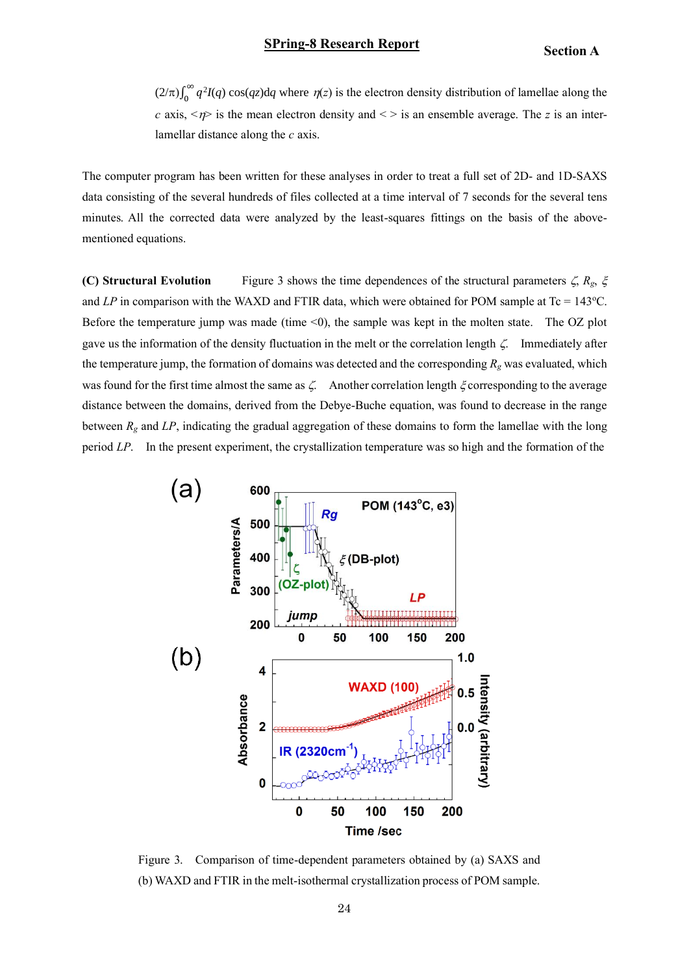$(2/\pi)\int_0^\infty q$  $\int_0^{\infty} q^2 I(q) \cos(qz) dq$  where  $\eta(z)$  is the electron density distribution of lamellae along the *c* axis,  $\langle n \rangle$  is the mean electron density and  $\langle \rangle$  is an ensemble average. The *z* is an interlamellar distance along the *c* axis.

The computer program has been written for these analyses in order to treat a full set of 2D- and 1D-SAXS data consisting of the several hundreds of files collected at a time interval of 7 seconds for the several tens minutes. All the corrected data were analyzed by the least-squares fittings on the basis of the abovementioned equations.

**(C) Structural Evolution** Figure 3 shows the time dependences of the structural parameters  $\zeta$ ,  $R_g$ ,  $\zeta$ and  $LP$  in comparison with the WAXD and FTIR data, which were obtained for POM sample at Tc = 143°C. Before the temperature jump was made (time <0), the sample was kept in the molten state. The OZ plot gave us the information of the density fluctuation in the melt or the correlation length  $\zeta$ . Immediately after the temperature jump, the formation of domains was detected and the corresponding  $R_g$  was evaluated, which was found for the first time almost the same as  $\zeta$ . Another correlation length  $\zeta$  corresponding to the average distance between the domains, derived from the Debye-Buche equation, was found to decrease in the range between *R<sup>g</sup>* and *LP*, indicating the gradual aggregation of these domains to form the lamellae with the long period *LP*. In the present experiment, the crystallization temperature was so high and the formation of the



Figure 3. Comparison of time-dependent parameters obtained by (a) SAXS and (b) WAXD and FTIR in the melt-isothermal crystallization process of POM sample.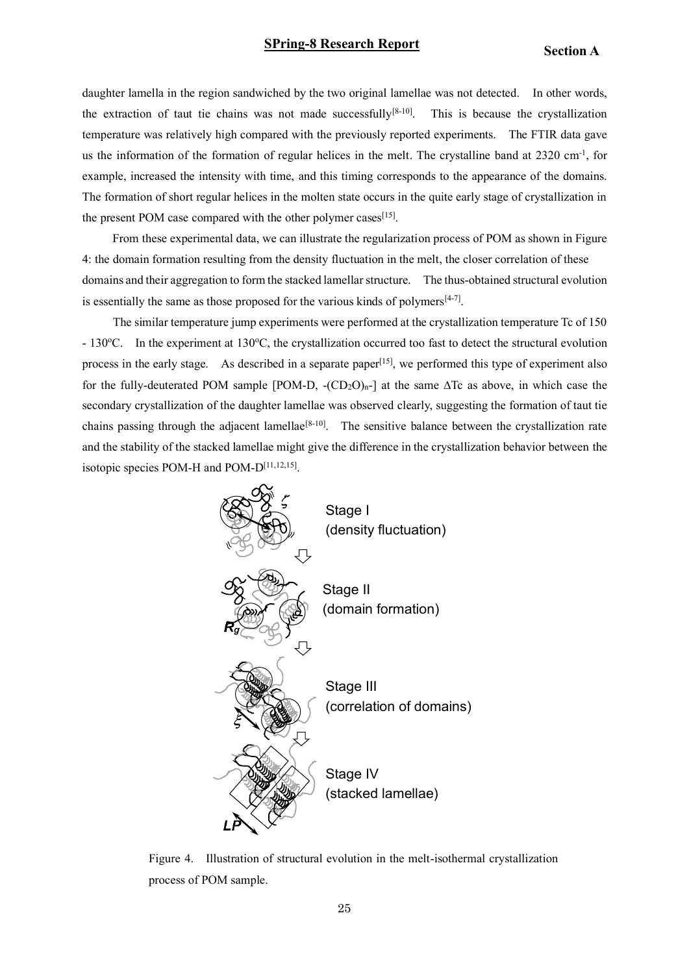# **SPring-8 Research Report Section A**

daughter lamella in the region sandwiched by the two original lamellae was not detected. In other words, the extraction of taut tie chains was not made successfully<sup>[8-10]</sup>. This is because the crystallization temperature was relatively high compared with the previously reported experiments. The FTIR data gave us the information of the formation of regular helices in the melt. The crystalline band at 2320 cm<sup>-1</sup>, for example, increased the intensity with time, and this timing corresponds to the appearance of the domains. The formation of short regular helices in the molten state occurs in the quite early stage of crystallization in the present POM case compared with the other polymer cases  $[15]$ .

From these experimental data, we can illustrate the regularization process of POM as shown in Figure 4: the domain formation resulting from the density fluctuation in the melt, the closer correlation of these domains and their aggregation to form the stacked lamellar structure. The thus-obtained structural evolution is essentially the same as those proposed for the various kinds of polymers $[4-7]$ .

 The similar temperature jump experiments were performed at the crystallization temperature Tc of 150 - 130 $^{\circ}$ C. In the experiment at 130 $^{\circ}$ C, the crystallization occurred too fast to detect the structural evolution process in the early stage. As described in a separate paper<sup>[15]</sup>, we performed this type of experiment also for the fully-deuterated POM sample [POM-D,  $-(CD_2O)_{n-1}$ ] at the same  $\Delta Tc$  as above, in which case the secondary crystallization of the daughter lamellae was observed clearly, suggesting the formation of taut tie chains passing through the adjacent lamellae<sup>[8-10]</sup>. The sensitive balance between the crystallization rate and the stability of the stacked lamellae might give the difference in the crystallization behavior between the isotopic species POM-H and POM-D<sup>[11,12,15]</sup>.



Figure 4. Illustration of structural evolution in the melt-isothermal crystallization process of POM sample.